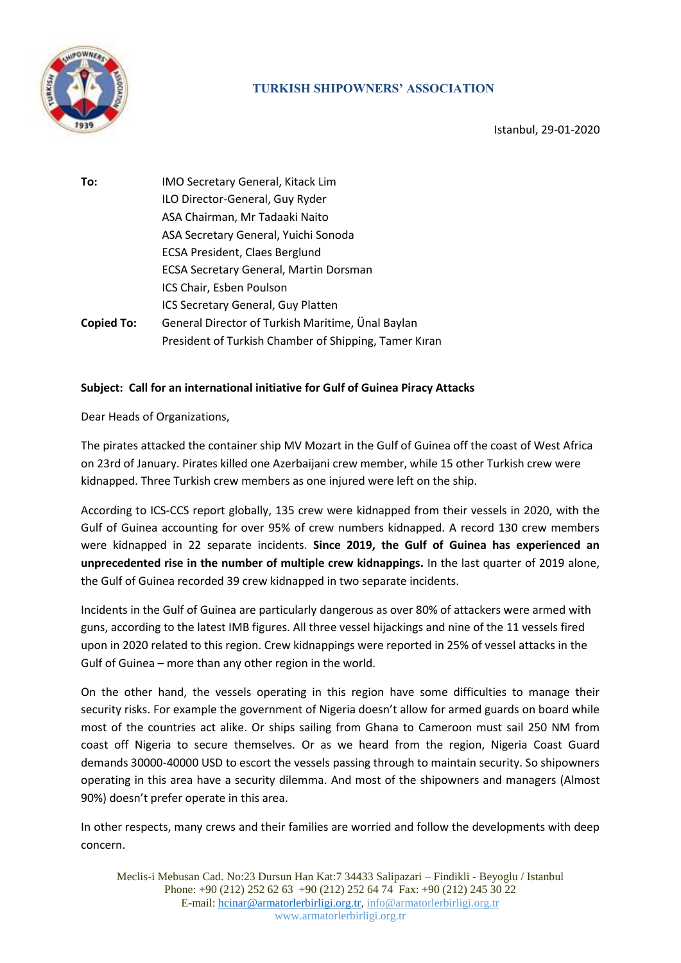

## **TURKISH SHIPOWNERS' ASSOCIATION**

Istanbul, 29-01-2020

**To:** IMO Secretary General, Kitack Lim ILO Director-General, Guy Ryder ASA Chairman, Mr Tadaaki Naito ASA Secretary General, Yuichi Sonoda ECSA President, Claes Berglund ECSA Secretary General, Martin Dorsman ICS Chair, Esben Poulson ICS Secretary General, Guy Platten **Copied To:** General Director of Turkish Maritime, Ünal Baylan President of Turkish Chamber of Shipping, Tamer Kıran

## **Subject: Call for an international initiative for Gulf of Guinea Piracy Attacks**

Dear Heads of Organizations,

The pirates attacked the container ship MV Mozart in the Gulf of Guinea off the coast of West Africa on 23rd of January. Pirates killed one Azerbaijani crew member, while 15 other Turkish crew were kidnapped. Three Turkish crew members as one injured were left on the ship.

According to ICS-CCS report globally, 135 crew were kidnapped from their vessels in 2020, with the Gulf of Guinea accounting for over 95% of crew numbers kidnapped. A record 130 crew members were kidnapped in 22 separate incidents. **Since 2019, the Gulf of Guinea has experienced an unprecedented rise in the number of multiple crew kidnappings.** In the last quarter of 2019 alone, the Gulf of Guinea recorded 39 crew kidnapped in two separate incidents.

Incidents in the Gulf of Guinea are particularly dangerous as over 80% of attackers were armed with guns, according to the latest IMB figures. All three vessel hijackings and nine of the 11 vessels fired upon in 2020 related to this region. Crew kidnappings were reported in 25% of vessel attacks in the Gulf of Guinea – more than any other region in the world.

On the other hand, the vessels operating in this region have some difficulties to manage their security risks. For example the government of Nigeria doesn't allow for armed guards on board while most of the countries act alike. Or ships sailing from Ghana to Cameroon must sail 250 NM from coast off Nigeria to secure themselves. Or as we heard from the region, Nigeria Coast Guard demands 30000-40000 USD to escort the vessels passing through to maintain security. So shipowners operating in this area have a security dilemma. And most of the shipowners and managers (Almost 90%) doesn't prefer operate in this area.

In other respects, many crews and their families are worried and follow the developments with deep concern.